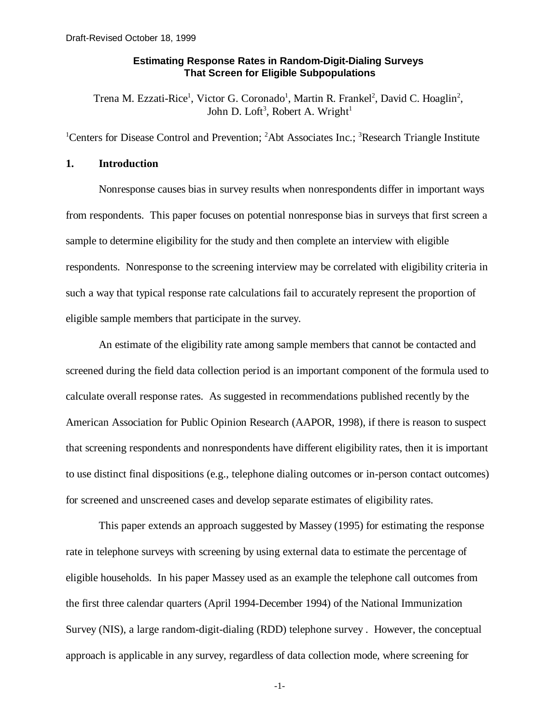# **Estimating Response Rates in Random-Digit-Dialing Surveys That Screen for Eligible Subpopulations**

Trena M. Ezzati-Rice<sup>1</sup>, Victor G. Coronado<sup>1</sup>, Martin R. Frankel<sup>2</sup>, David C. Hoaglin<sup>2</sup>, John D. Loft<sup>3</sup>, Robert A. Wright<sup>1</sup>

<sup>1</sup>Centers for Disease Control and Prevention; <sup>2</sup>Abt Associates Inc.; <sup>3</sup>Research Triangle Institute

## **1. Introduction**

Nonresponse causes bias in survey results when nonrespondents differ in important ways from respondents. This paper focuses on potential nonresponse bias in surveys that first screen a sample to determine eligibility for the study and then complete an interview with eligible respondents. Nonresponse to the screening interview may be correlated with eligibility criteria in such a way that typical response rate calculations fail to accurately represent the proportion of eligible sample members that participate in the survey.

An estimate of the eligibility rate among sample members that cannot be contacted and screened during the field data collection period is an important component of the formula used to calculate overall response rates. As suggested in recommendations published recently by the American Association for Public Opinion Research (AAPOR, 1998), if there is reason to suspect that screening respondents and nonrespondents have different eligibility rates, then it is important to use distinct final dispositions (e.g., telephone dialing outcomes or in-person contact outcomes) for screened and unscreened cases and develop separate estimates of eligibility rates.

This paper extends an approach suggested by Massey (1995) for estimating the response rate in telephone surveys with screening by using external data to estimate the percentage of eligible households. In his paper Massey used as an example the telephone call outcomes from the first three calendar quarters (April 1994-December 1994) of the National Immunization Survey (NIS), a large random-digit-dialing (RDD) telephone survey . However, the conceptual approach is applicable in any survey, regardless of data collection mode, where screening for

-1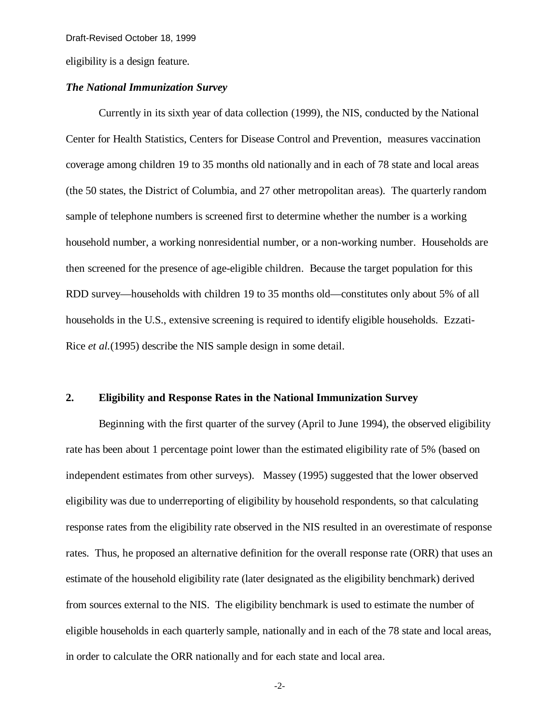eligibility is a design feature.

### *The National Immunization Survey*

Currently in its sixth year of data collection (1999), the NIS, conducted by the National Center for Health Statistics, Centers for Disease Control and Prevention, measures vaccination coverage among children 19 to 35 months old nationally and in each of 78 state and local areas (the 50 states, the District of Columbia, and 27 other metropolitan areas). The quarterly random sample of telephone numbers is screened first to determine whether the number is a working household number, a working nonresidential number, or a non-working number. Households are then screened for the presence of age-eligible children. Because the target population for this RDD survey— households with children 19 to 35 months old— constitutes only about 5% of all households in the U.S., extensive screening is required to identify eligible households. Ezzati-Rice *et al.*(1995) describe the NIS sample design in some detail.

### **2. Eligibility and Response Rates in the National Immunization Survey**

Beginning with the first quarter of the survey (April to June 1994), the observed eligibility rate has been about 1 percentage point lower than the estimated eligibility rate of 5% (based on independent estimates from other surveys). Massey (1995) suggested that the lower observed eligibility was due to underreporting of eligibility by household respondents, so that calculating response rates from the eligibility rate observed in the NIS resulted in an overestimate of response rates. Thus, he proposed an alternative definition for the overall response rate (ORR) that uses an estimate of the household eligibility rate (later designated as the eligibility benchmark) derived from sources external to the NIS. The eligibility benchmark is used to estimate the number of eligible households in each quarterly sample, nationally and in each of the 78 state and local areas, in order to calculate the ORR nationally and for each state and local area.

 $-2-$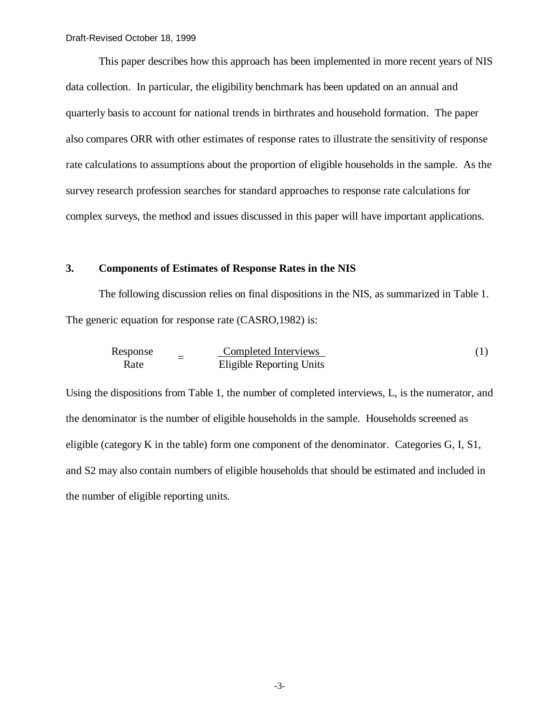This paper describes how this approach has been implemented in more recent years of NIS data collection. In particular, the eligibility benchmark has been updated on an annual and quarterly basis to account for national trends in birthrates and household formation. The paper also compares ORR with other estimates of response rates to illustrate the sensitivity of response rate calculations to assumptions about the proportion of eligible households in the sample. As the survey research profession searches for standard approaches to response rate calculations for complex surveys, the method and issues discussed in this paper will have important applications.

## **3. Components of Estimates of Response Rates in the NIS**

The following discussion relies on final dispositions in the NIS, as summarized in Table 1. The generic equation for response rate (CASRO,1982) is:

| Response | $Completed Interviews$     | (1) |
|----------|----------------------------|-----|
| Rate     | $Eligible Reporting Units$ | (2) |

Using the dispositions from Table 1, the number of completed interviews, L, is the numerator, and the denominator is the number of eligible households in the sample. Households screened as eligible (category K in the table) form one component of the denominator. Categories G, I, S1, and S2 may also contain numbers of eligible households that should be estimated and included in the number of eligible reporting units.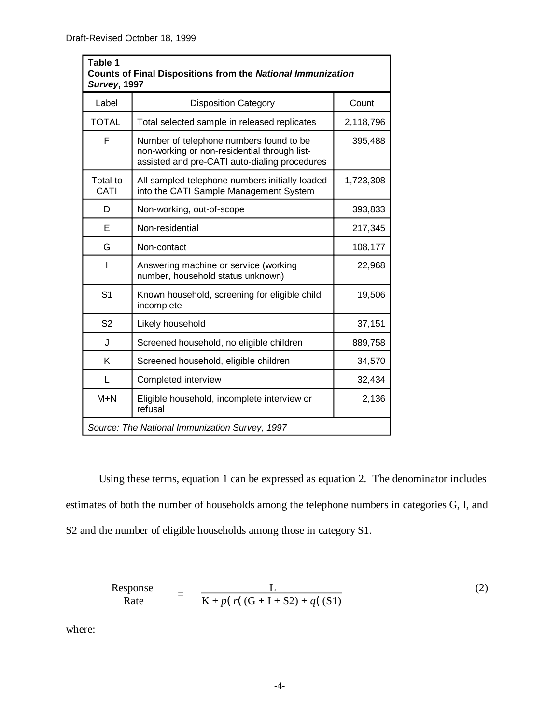| Table 1<br><b>Counts of Final Dispositions from the National Immunization</b><br><b>Survey, 1997</b> |                                                                                                                                          |           |  |  |
|------------------------------------------------------------------------------------------------------|------------------------------------------------------------------------------------------------------------------------------------------|-----------|--|--|
| Label                                                                                                | <b>Disposition Category</b>                                                                                                              | Count     |  |  |
| <b>TOTAL</b>                                                                                         | Total selected sample in released replicates                                                                                             | 2,118,796 |  |  |
| F                                                                                                    | Number of telephone numbers found to be<br>non-working or non-residential through list-<br>assisted and pre-CATI auto-dialing procedures | 395,488   |  |  |
| Total to<br>CATI                                                                                     | All sampled telephone numbers initially loaded<br>into the CATI Sample Management System                                                 | 1,723,308 |  |  |
| D                                                                                                    | Non-working, out-of-scope                                                                                                                | 393,833   |  |  |
| E                                                                                                    | Non-residential                                                                                                                          | 217,345   |  |  |
| G                                                                                                    | Non-contact                                                                                                                              | 108,177   |  |  |
|                                                                                                      | Answering machine or service (working<br>number, household status unknown)                                                               | 22,968    |  |  |
| S <sub>1</sub>                                                                                       | Known household, screening for eligible child<br>incomplete                                                                              | 19,506    |  |  |
| S <sub>2</sub>                                                                                       | Likely household                                                                                                                         | 37,151    |  |  |
| J                                                                                                    | Screened household, no eligible children                                                                                                 | 889,758   |  |  |
| K                                                                                                    | Screened household, eligible children                                                                                                    | 34,570    |  |  |
| L                                                                                                    | Completed interview                                                                                                                      | 32,434    |  |  |
| $M+N$                                                                                                | Eligible household, incomplete interview or<br>2,136<br>refusal                                                                          |           |  |  |
| Source: The National Immunization Survey, 1997                                                       |                                                                                                                                          |           |  |  |

Using these terms, equation 1 can be expressed as equation 2. The denominator includes estimates of both the number of households among the telephone numbers in categories G, I, and S2 and the number of eligible households among those in category S1.

Response  
Rate 
$$
= \frac{L}{K + p(r((G + I + S2) + q((S1))}
$$
 (2)

where: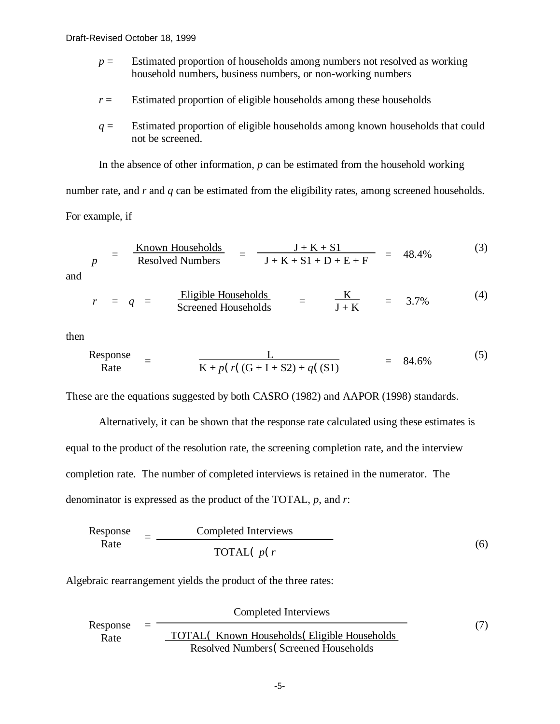- $p =$  Estimated proportion of households among numbers not resolved as working household numbers, business numbers, or non-working numbers
- $r =$  Estimated proportion of eligible households among these households
- *q* = Estimated proportion of eligible households among known households that could not be screened.

In the absence of other information, *p* can be estimated from the household working number rate, and *r* and *q* can be estimated from the eligibility rates, among screened households. For example, if

$$
p = \frac{\text{Known Households}}{\text{Resolved Numbers}} = \frac{J + K + S1}{J + K + S1 + D + E + F} = 48.4\% \tag{3}
$$

and

$$
r = q =
$$
 Eligible Households  $=$  K  $=$  3.7%  $(4)$    
Screened Households

then

Response = 
$$
\frac{L}{K + p(r((G + I + S2) + q((S1))} = 84.6\%)
$$
 (5)

These are the equations suggested by both CASRO (1982) and AAPOR (1998) standards.

Alternatively, it can be shown that the response rate calculated using these estimates is equal to the product of the resolution rate, the screening completion rate, and the interview completion rate. The number of completed interviews is retained in the numerator. The denominator is expressed as the product of the TOTAL, *p*, and *r*:

| Response | =            | Complete | Interviews |
|----------|--------------|----------|------------|
| Rate     | TOTAL( $p(r$ |          |            |

Algebraic rearrangement yields the product of the three rates:

|                  |                                              | Completed Interviews                         |  |
|------------------|----------------------------------------------|----------------------------------------------|--|
| Response<br>Rate | $=$                                          | TOTAL(Known Households (Eligible Households) |  |
|                  | <b>Resolved Numbers</b> (Screened Households |                                              |  |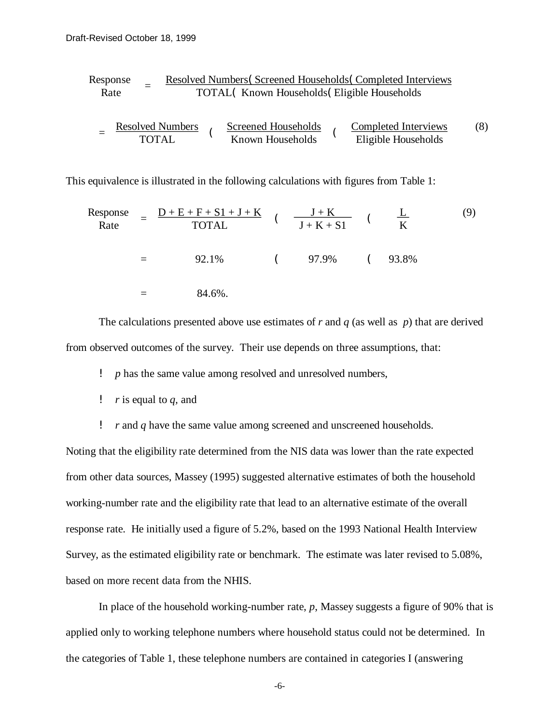Response Resolved Numbers( Screened Households( Completed Interviews = Rate TOTAL( Known Households( Eligible Households Resolved Numbers Screened Households Completed Interviews (8) <sup>=</sup>( ( TOTAL Known Households Eligible Households

This equivalence is illustrated in the following calculations with figures from Table 1:

Response Rate

\n
$$
= \frac{D + E + F + S1 + J + K}{TOTAL} \quad (\frac{J + K}{J + K + S1} \quad (\frac{L}{K})
$$
\n
$$
= 92.1\%
$$
\n
$$
= 84.6\%.
$$
\n(9)\n

The calculations presented above use estimates of *r* and *q* (as well as *p*) that are derived from observed outcomes of the survey. Their use depends on three assumptions, that:

*p* has the same value among resolved and unresolved numbers,

- ! *r* is equal to *q,* and
- ! *r* and *q* have the same value among screened and unscreened households.

Noting that the eligibility rate determined from the NIS data was lower than the rate expected from other data sources, Massey (1995) suggested alternative estimates of both the household working-number rate and the eligibility rate that lead to an alternative estimate of the overall response rate. He initially used a figure of 5.2%, based on the 1993 National Health Interview Survey, as the estimated eligibility rate or benchmark. The estimate was later revised to 5.08%, based on more recent data from the NHIS.

In place of the household working-number rate, *p*, Massey suggests a figure of 90% that is applied only to working telephone numbers where household status could not be determined. In the categories of Table 1, these telephone numbers are contained in categories I (answering

-6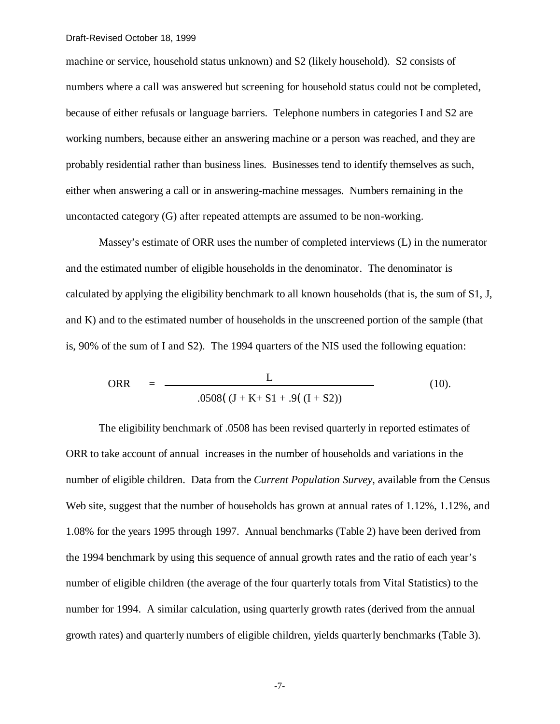machine or service, household status unknown) and S2 (likely household). S2 consists of numbers where a call was answered but screening for household status could not be completed, because of either refusals or language barriers. Telephone numbers in categories I and S2 are working numbers, because either an answering machine or a person was reached, and they are probably residential rather than business lines. Businesses tend to identify themselves as such, either when answering a call or in answering-machine messages. Numbers remaining in the uncontacted category (G) after repeated attempts are assumed to be non-working.

Massey's estimate of ORR uses the number of completed interviews (L) in the numerator and the estimated number of eligible households in the denominator. The denominator is calculated by applying the eligibility benchmark to all known households (that is, the sum of S1, J, and K) and to the estimated number of households in the unscreened portion of the sample (that is, 90% of the sum of I and S2). The 1994 quarters of the NIS used the following equation:

$$
ORR = \frac{L}{.0508((J + K + S1 + .9((I + S2))}
$$
 (10).

The eligibility benchmark of .0508 has been revised quarterly in reported estimates of ORR to take account of annual increases in the number of households and variations in the number of eligible children. Data from the *Current Population Survey*, available from the Census Web site, suggest that the number of households has grown at annual rates of 1.12%, 1.12%, and 1.08% for the years 1995 through 1997. Annual benchmarks (Table 2) have been derived from the 1994 benchmark by using this sequence of annual growth rates and the ratio of each year's number of eligible children (the average of the four quarterly totals from Vital Statistics) to the number for 1994. A similar calculation, using quarterly growth rates (derived from the annual growth rates) and quarterly numbers of eligible children, yields quarterly benchmarks (Table 3).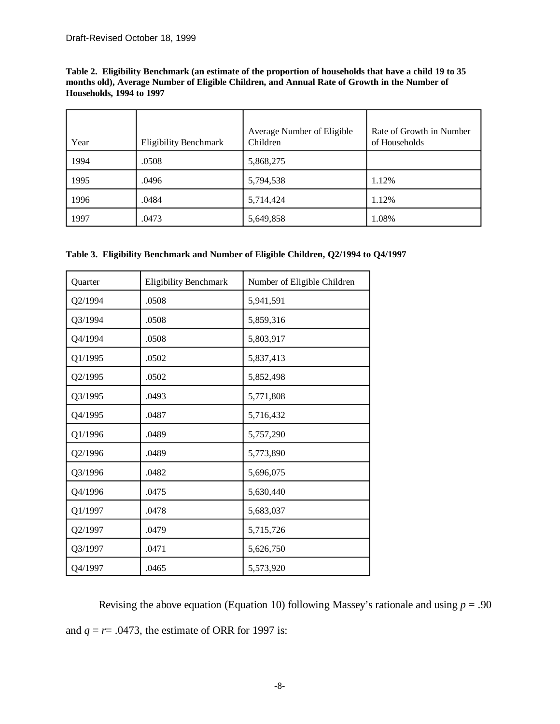**Table 2. Eligibility Benchmark (an estimate of the proportion of households that have a child 19 to 35 months old), Average Number of Eligible Children, and Annual Rate of Growth in the Number of Households, 1994 to 1997** 

| Year | <b>Eligibility Benchmark</b> | Average Number of Eligible<br>Children | Rate of Growth in Number<br>of Households |
|------|------------------------------|----------------------------------------|-------------------------------------------|
| 1994 | .0508                        | 5,868,275                              |                                           |
| 1995 | .0496                        | 5,794,538                              | 1.12%                                     |
| 1996 | .0484                        | 5,714,424                              | 1.12%                                     |
| 1997 | .0473                        | 5,649,858                              | 1.08%                                     |

|  |  | Table 3. Eligibility Benchmark and Number of Eligible Children, Q2/1994 to Q4/1997 |  |  |  |  |  |
|--|--|------------------------------------------------------------------------------------|--|--|--|--|--|
|--|--|------------------------------------------------------------------------------------|--|--|--|--|--|

| Quarter | <b>Eligibility Benchmark</b> | Number of Eligible Children |
|---------|------------------------------|-----------------------------|
| Q2/1994 | .0508                        | 5,941,591                   |
| Q3/1994 | .0508                        | 5,859,316                   |
| Q4/1994 | .0508                        | 5,803,917                   |
| Q1/1995 | .0502                        | 5,837,413                   |
| Q2/1995 | .0502                        | 5,852,498                   |
| Q3/1995 | .0493                        | 5,771,808                   |
| Q4/1995 | .0487                        | 5,716,432                   |
| Q1/1996 | .0489                        | 5,757,290                   |
| Q2/1996 | .0489                        | 5,773,890                   |
| Q3/1996 | .0482                        | 5,696,075                   |
| Q4/1996 | .0475                        | 5,630,440                   |
| Q1/1997 | .0478                        | 5,683,037                   |
| Q2/1997 | .0479                        | 5,715,726                   |
| Q3/1997 | .0471                        | 5,626,750                   |
| Q4/1997 | .0465                        | 5,573,920                   |

Revising the above equation (Equation 10) following Massey's rationale and using  $p = .90$ and  $q = r = .0473$ , the estimate of ORR for 1997 is: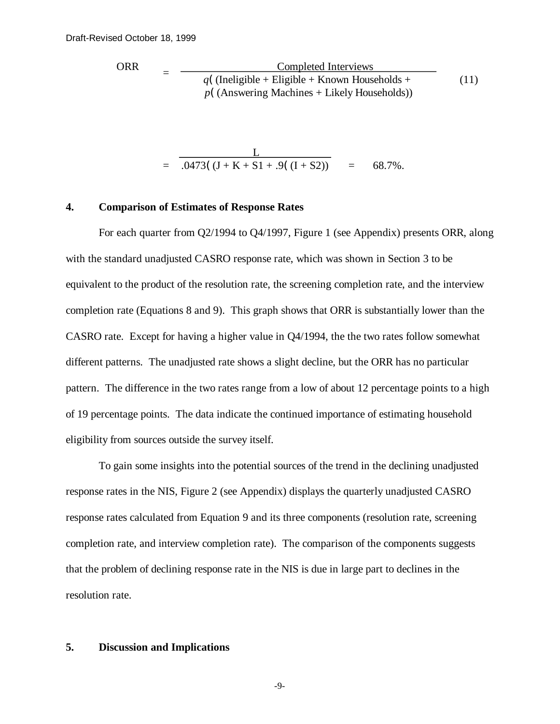ORR = 
$$
\frac{\text{Complete} \text{ Interviews}}{q(\text{(Ineligible + Elizabeth Rown Households + \text{Likely Households})})}
$$
\n(11)

$$
= \frac{L}{.0473((J+K+S1+.9((I+S2)))} = 68.7\%.
$$

### **4. Comparison of Estimates of Response Rates**

For each quarter from Q2/1994 to Q4/1997, Figure 1 (see Appendix) presents ORR, along with the standard unadjusted CASRO response rate, which was shown in Section 3 to be equivalent to the product of the resolution rate, the screening completion rate, and the interview completion rate (Equations 8 and 9). This graph shows that ORR is substantially lower than the CASRO rate. Except for having a higher value in Q4/1994, the the two rates follow somewhat different patterns. The unadjusted rate shows a slight decline, but the ORR has no particular pattern. The difference in the two rates range from a low of about 12 percentage points to a high of 19 percentage points. The data indicate the continued importance of estimating household eligibility from sources outside the survey itself.

To gain some insights into the potential sources of the trend in the declining unadjusted response rates in the NIS, Figure 2 (see Appendix) displays the quarterly unadjusted CASRO response rates calculated from Equation 9 and its three components (resolution rate, screening completion rate, and interview completion rate). The comparison of the components suggests that the problem of declining response rate in the NIS is due in large part to declines in the resolution rate.

## **5. Discussion and Implications**

 $-9-$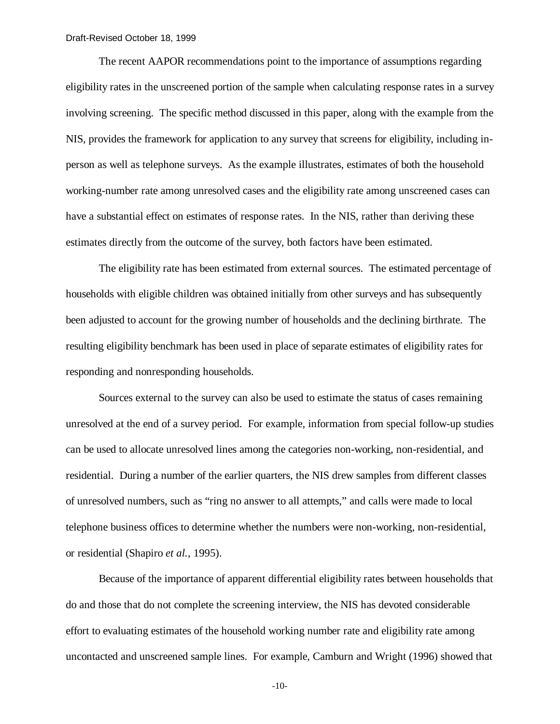The recent AAPOR recommendations point to the importance of assumptions regarding eligibility rates in the unscreened portion of the sample when calculating response rates in a survey involving screening. The specific method discussed in this paper, along with the example from the NIS, provides the framework for application to any survey that screens for eligibility, including inperson as well as telephone surveys. As the example illustrates, estimates of both the household working-number rate among unresolved cases and the eligibility rate among unscreened cases can have a substantial effect on estimates of response rates. In the NIS, rather than deriving these estimates directly from the outcome of the survey, both factors have been estimated.

The eligibility rate has been estimated from external sources. The estimated percentage of households with eligible children was obtained initially from other surveys and has subsequently been adjusted to account for the growing number of households and the declining birthrate. The resulting eligibility benchmark has been used in place of separate estimates of eligibility rates for responding and nonresponding households.

Sources external to the survey can also be used to estimate the status of cases remaining unresolved at the end of a survey period. For example, information from special follow-up studies can be used to allocate unresolved lines among the categories non-working, non-residential, and residential. During a number of the earlier quarters, the NIS drew samples from different classes of unresolved numbers, such as "ring no answer to all attempts," and calls were made to local telephone business offices to determine whether the numbers were non-working, non-residential, or residential (Shapiro *et al.*, 1995).

Because of the importance of apparent differential eligibility rates between households that do and those that do not complete the screening interview, the NIS has devoted considerable effort to evaluating estimates of the household working number rate and eligibility rate among uncontacted and unscreened sample lines. For example, Camburn and Wright (1996) showed that

 $-10-$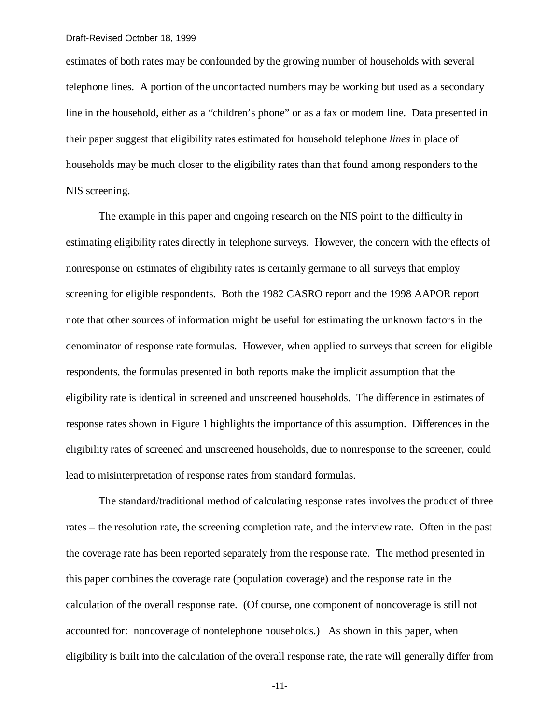estimates of both rates may be confounded by the growing number of households with several telephone lines. A portion of the uncontacted numbers may be working but used as a secondary line in the household, either as a "children's phone" or as a fax or modem line. Data presented in their paper suggest that eligibility rates estimated for household telephone *lines* in place of households may be much closer to the eligibility rates than that found among responders to the NIS screening.

The example in this paper and ongoing research on the NIS point to the difficulty in estimating eligibility rates directly in telephone surveys. However, the concern with the effects of nonresponse on estimates of eligibility rates is certainly germane to all surveys that employ screening for eligible respondents. Both the 1982 CASRO report and the 1998 AAPOR report note that other sources of information might be useful for estimating the unknown factors in the denominator of response rate formulas. However, when applied to surveys that screen for eligible respondents, the formulas presented in both reports make the implicit assumption that the eligibility rate is identical in screened and unscreened households. The difference in estimates of response rates shown in Figure 1 highlights the importance of this assumption. Differences in the eligibility rates of screened and unscreened households, due to nonresponse to the screener, could lead to misinterpretation of response rates from standard formulas.

The standard/traditional method of calculating response rates involves the product of three rates – the resolution rate, the screening completion rate, and the interview rate. Often in the past the coverage rate has been reported separately from the response rate. The method presented in this paper combines the coverage rate (population coverage) and the response rate in the calculation of the overall response rate. (Of course, one component of noncoverage is still not accounted for: noncoverage of nontelephone households.) As shown in this paper, when eligibility is built into the calculation of the overall response rate, the rate will generally differ from

-11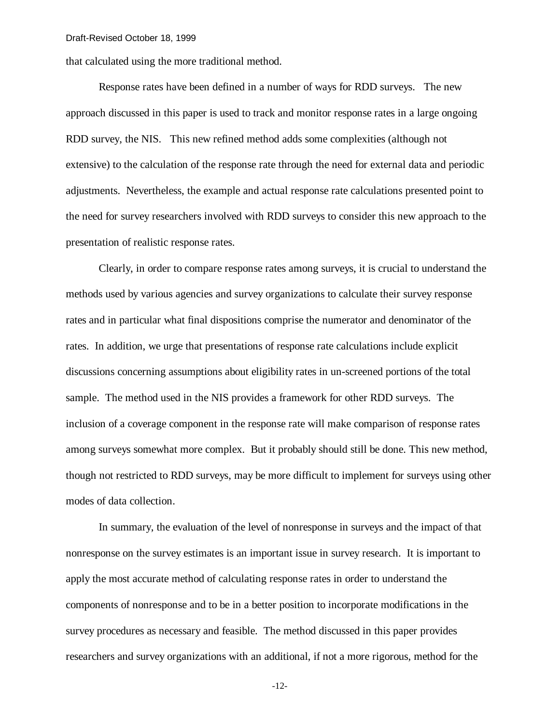that calculated using the more traditional method.

Response rates have been defined in a number of ways for RDD surveys. The new approach discussed in this paper is used to track and monitor response rates in a large ongoing RDD survey, the NIS. This new refined method adds some complexities (although not extensive) to the calculation of the response rate through the need for external data and periodic adjustments. Nevertheless, the example and actual response rate calculations presented point to the need for survey researchers involved with RDD surveys to consider this new approach to the presentation of realistic response rates.

Clearly, in order to compare response rates among surveys, it is crucial to understand the methods used by various agencies and survey organizations to calculate their survey response rates and in particular what final dispositions comprise the numerator and denominator of the rates. In addition, we urge that presentations of response rate calculations include explicit discussions concerning assumptions about eligibility rates in un-screened portions of the total sample. The method used in the NIS provides a framework for other RDD surveys. The inclusion of a coverage component in the response rate will make comparison of response rates among surveys somewhat more complex. But it probably should still be done. This new method, though not restricted to RDD surveys, may be more difficult to implement for surveys using other modes of data collection.

In summary, the evaluation of the level of nonresponse in surveys and the impact of that nonresponse on the survey estimates is an important issue in survey research. It is important to apply the most accurate method of calculating response rates in order to understand the components of nonresponse and to be in a better position to incorporate modifications in the survey procedures as necessary and feasible. The method discussed in this paper provides researchers and survey organizations with an additional, if not a more rigorous, method for the

 $-12-$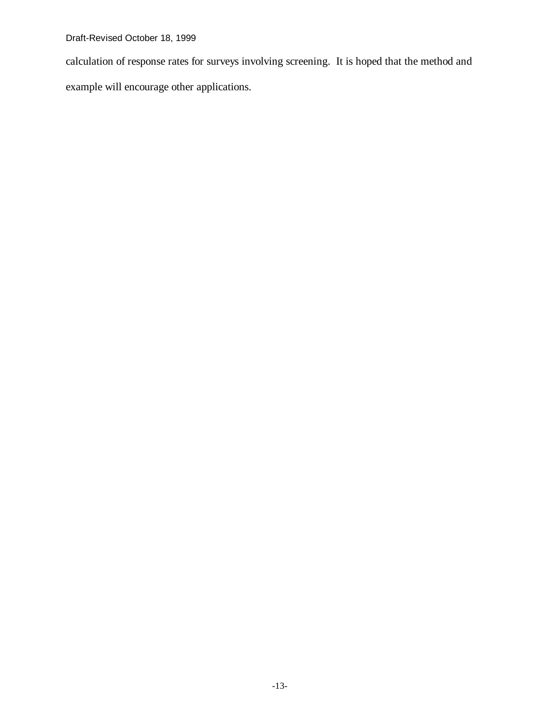calculation of response rates for surveys involving screening. It is hoped that the method and example will encourage other applications.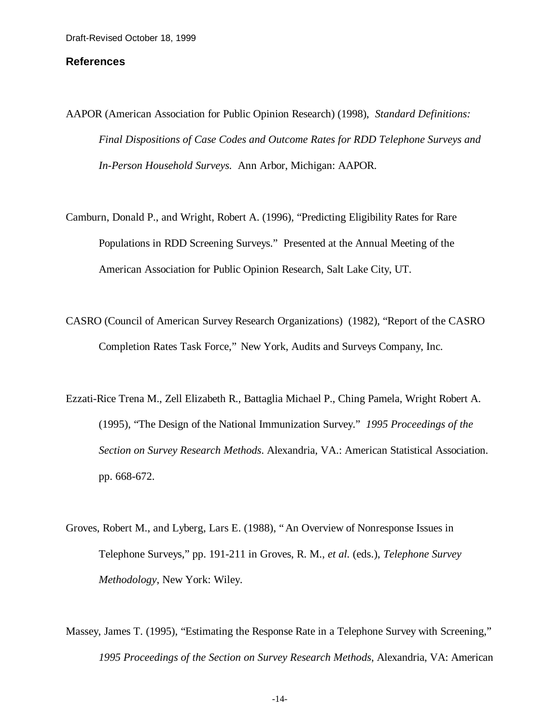### **References**

- AAPOR (American Association for Public Opinion Research) (1998), *Standard Definitions: Final Dispositions of Case Codes and Outcome Rates for RDD Telephone Surveys and In-Person Household Surveys.* Ann Arbor, Michigan: AAPOR.
- Camburn, Donald P., and Wright, Robert A. (1996), "Predicting Eligibility Rates for Rare Populations in RDD Screening Surveys." Presented at the Annual Meeting of the American Association for Public Opinion Research, Salt Lake City, UT.
- CASRO (Council of American Survey Research Organizations) (1982), "Report of the CASRO Completion Rates Task Force," New York, Audits and Surveys Company, Inc.
- Ezzati-Rice Trena M., Zell Elizabeth R., Battaglia Michael P., Ching Pamela, Wright Robert A. (1995), "The Design of the National Immunization Survey." *1995 Proceedings of the Section on Survey Research Methods*. Alexandria, VA.: American Statistical Association. pp. 668-672.
- Groves, Robert M., and Lyberg, Lars E. (1988), "An Overview of Nonresponse Issues in Telephone Surveys," pp. 191-211 in Groves, R. M., *et al.* (eds.), *Telephone Survey Methodology*, New York: Wiley.
- Massey, James T. (1995), "Estimating the Response Rate in a Telephone Survey with Screening," *1995 Proceedings of the Section on Survey Research Methods*, Alexandria, VA: American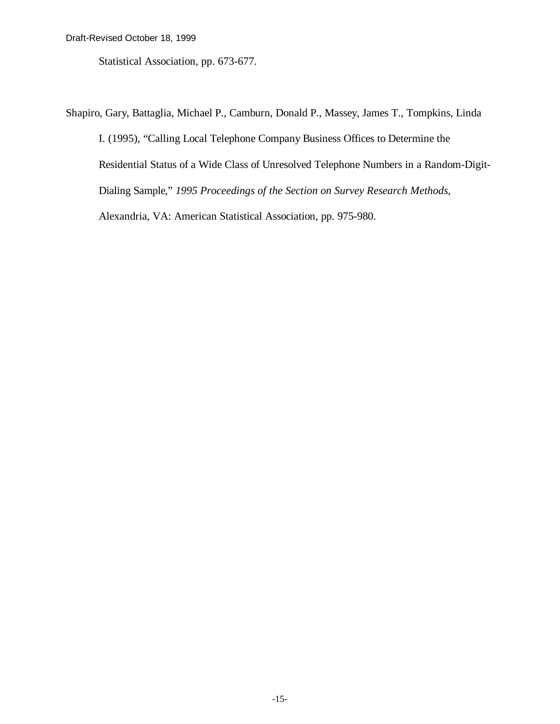Statistical Association, pp. 673-677.

Shapiro, Gary, Battaglia, Michael P., Camburn, Donald P., Massey, James T., Tompkins, Linda I. (1995), "Calling Local Telephone Company Business Offices to Determine the Residential Status of a Wide Class of Unresolved Telephone Numbers in a Random-Digit-Dialing Sample," *1995 Proceedings of the Section on Survey Research Methods*, Alexandria, VA: American Statistical Association, pp. 975-980.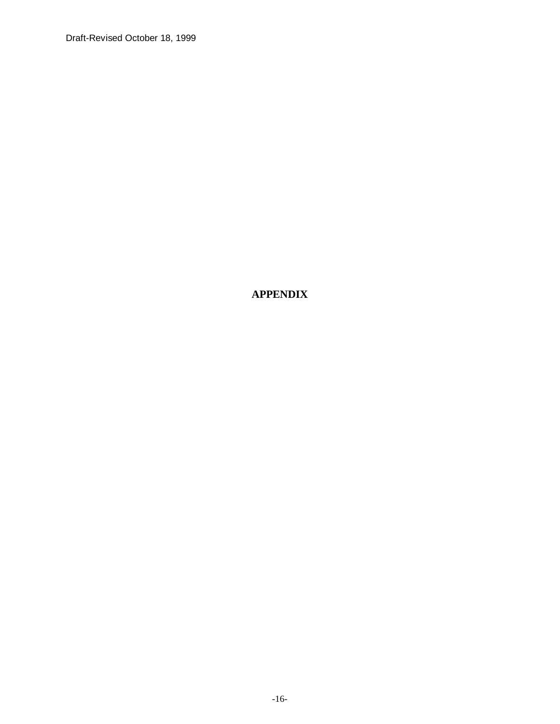**APPENDIX**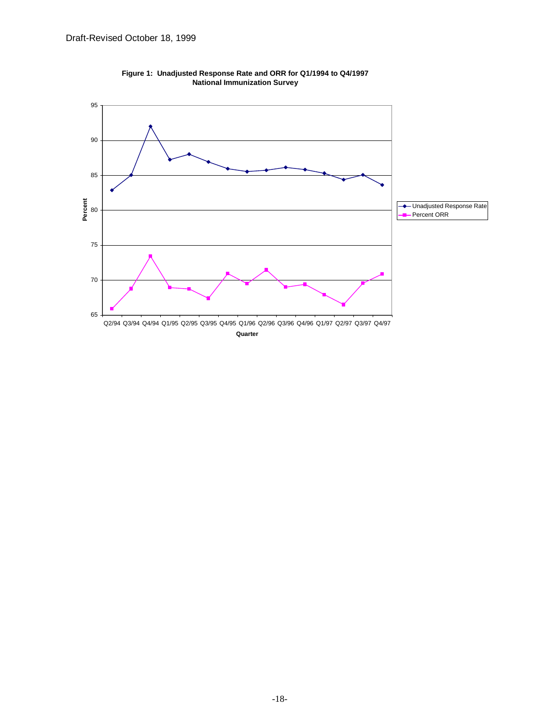

**Figure 1: Unadjusted Response Rate and ORR for Q1/1994 to Q4/1997 National Immunization Survey**